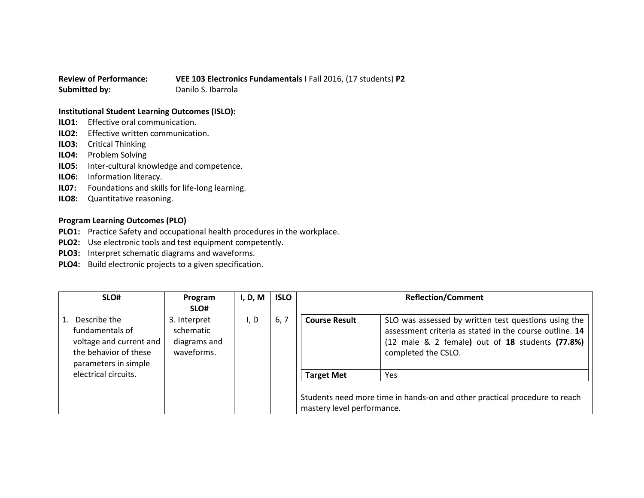## **Review of Performance: VEE 103 Electronics Fundamentals I** Fall 2016, (17 students) **P2 Submitted by:** Danilo S. Ibarrola

## **Institutional Student Learning Outcomes (ISLO):**

- **ILO1:** Effective oral communication.
- **ILO2:** Effective written communication.
- **ILO3:** Critical Thinking
- **ILO4:** Problem Solving
- **ILO5:** Inter-cultural knowledge and competence.
- **ILO6:** Information literacy.
- **IL07:** Foundations and skills for life-long learning.
- **ILO8:** Quantitative reasoning.

## **Program Learning Outcomes (PLO)**

- **PLO1:** Practice Safety and occupational health procedures in the workplace.
- **PLO2:** Use electronic tools and test equipment competently.
- **PLO3:** Interpret schematic diagrams and waveforms.
- **PLO4:** Build electronic projects to a given specification.

| SLO#                                                                                                        | Program                                                 | I, D, M | <b>ISLO</b> | <b>Reflection/Comment</b>  |                                                                                                                                                                                           |
|-------------------------------------------------------------------------------------------------------------|---------------------------------------------------------|---------|-------------|----------------------------|-------------------------------------------------------------------------------------------------------------------------------------------------------------------------------------------|
|                                                                                                             | SLO#                                                    |         |             |                            |                                                                                                                                                                                           |
| Describe the<br>fundamentals of<br>voltage and current and<br>the behavior of these<br>parameters in simple | 3. Interpret<br>schematic<br>diagrams and<br>waveforms. | I, D    | 6, 7        | <b>Course Result</b>       | SLO was assessed by written test questions using the<br>assessment criteria as stated in the course outline. 14<br>(12 male & 2 female) out of 18 students (77.8%)<br>completed the CSLO. |
| electrical circuits.                                                                                        |                                                         |         |             | <b>Target Met</b>          | Yes                                                                                                                                                                                       |
|                                                                                                             |                                                         |         |             | mastery level performance. | Students need more time in hands-on and other practical procedure to reach                                                                                                                |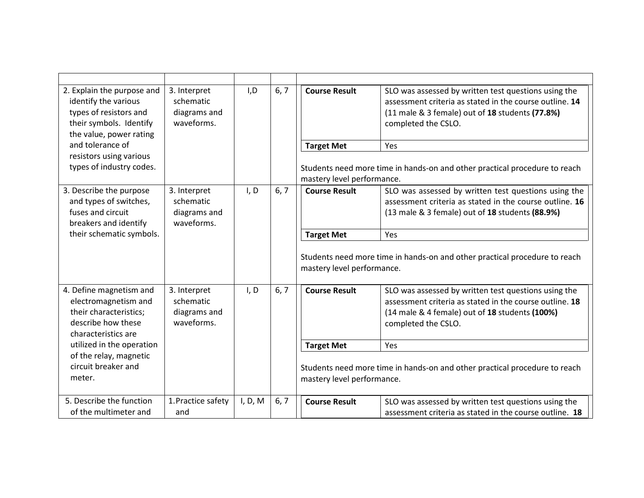| 2. Explain the purpose and<br>identify the various<br>types of resistors and<br>their symbols. Identify<br>the value, power rating | 3. Interpret<br>schematic<br>diagrams and<br>waveforms. | I, D    | 6, 7 | <b>Course Result</b>       | SLO was assessed by written test questions using the<br>assessment criteria as stated in the course outline. 14<br>(11 male & 3 female) out of 18 students (77.8%)<br>completed the CSLO. |
|------------------------------------------------------------------------------------------------------------------------------------|---------------------------------------------------------|---------|------|----------------------------|-------------------------------------------------------------------------------------------------------------------------------------------------------------------------------------------|
| and tolerance of                                                                                                                   |                                                         |         |      | <b>Target Met</b>          | Yes                                                                                                                                                                                       |
| resistors using various<br>types of industry codes.                                                                                |                                                         |         |      | mastery level performance. | Students need more time in hands-on and other practical procedure to reach                                                                                                                |
| 3. Describe the purpose<br>and types of switches,<br>fuses and circuit<br>breakers and identify                                    | 3. Interpret<br>schematic<br>diagrams and<br>waveforms. | I, D    | 6, 7 | <b>Course Result</b>       | SLO was assessed by written test questions using the<br>assessment criteria as stated in the course outline. 16<br>(13 male & 3 female) out of 18 students (88.9%)                        |
| their schematic symbols.                                                                                                           |                                                         |         |      | <b>Target Met</b>          | Yes                                                                                                                                                                                       |
|                                                                                                                                    |                                                         |         |      | mastery level performance. | Students need more time in hands-on and other practical procedure to reach                                                                                                                |
| 4. Define magnetism and<br>electromagnetism and<br>their characteristics;<br>describe how these<br>characteristics are             | 3. Interpret<br>schematic<br>diagrams and<br>waveforms. | I, D    | 6, 7 | <b>Course Result</b>       | SLO was assessed by written test questions using the<br>assessment criteria as stated in the course outline. 18<br>(14 male & 4 female) out of 18 students (100%)<br>completed the CSLO.  |
| utilized in the operation                                                                                                          |                                                         |         |      | <b>Target Met</b>          | Yes                                                                                                                                                                                       |
| of the relay, magnetic<br>circuit breaker and<br>meter.                                                                            |                                                         |         |      | mastery level performance. | Students need more time in hands-on and other practical procedure to reach                                                                                                                |
| 5. Describe the function                                                                                                           | 1. Practice safety                                      | I, D, M | 6, 7 | <b>Course Result</b>       | SLO was assessed by written test questions using the                                                                                                                                      |
| of the multimeter and                                                                                                              | and                                                     |         |      |                            | assessment criteria as stated in the course outline. 18                                                                                                                                   |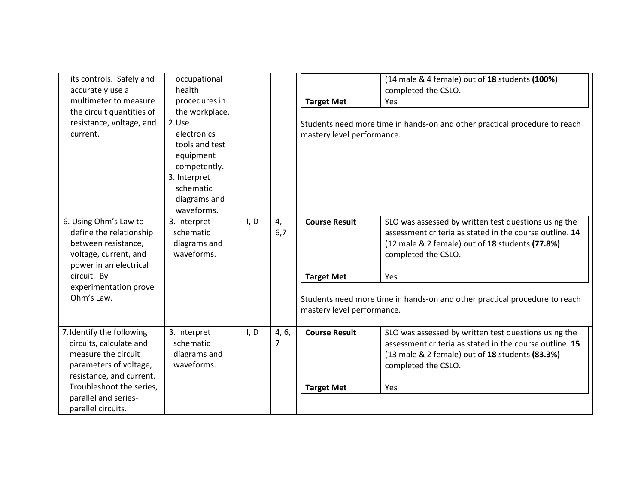| its controls. Safely and<br>accurately use a<br>multimeter to measure<br>the circuit quantities of<br>resistance, voltage, and<br>current. | occupational<br>health<br>procedures in<br>the workplace.<br>2.Use<br>electronics<br>tools and test<br>equipment<br>competently.<br>3. Interpret<br>schematic<br>diagrams and<br>waveforms. |      |            | <b>Target Met</b><br>mastery level performance. | (14 male & 4 female) out of 18 students (100%)<br>completed the CSLO.<br>Yes<br>Students need more time in hands-on and other practical procedure to reach                                |
|--------------------------------------------------------------------------------------------------------------------------------------------|---------------------------------------------------------------------------------------------------------------------------------------------------------------------------------------------|------|------------|-------------------------------------------------|-------------------------------------------------------------------------------------------------------------------------------------------------------------------------------------------|
| 6. Using Ohm's Law to<br>define the relationship<br>between resistance,<br>voltage, current, and<br>power in an electrical                 | 3. Interpret<br>schematic<br>diagrams and<br>waveforms.                                                                                                                                     | I, D | 4,<br>6,7  | <b>Course Result</b>                            | SLO was assessed by written test questions using the<br>assessment criteria as stated in the course outline. 14<br>(12 male & 2 female) out of 18 students (77.8%)<br>completed the CSLO. |
| circuit. By                                                                                                                                |                                                                                                                                                                                             |      |            | <b>Target Met</b>                               | Yes                                                                                                                                                                                       |
| experimentation prove<br>Ohm's Law.                                                                                                        |                                                                                                                                                                                             |      |            | mastery level performance.                      | Students need more time in hands-on and other practical procedure to reach                                                                                                                |
| 7. Identify the following<br>circuits, calculate and<br>measure the circuit<br>parameters of voltage,<br>resistance, and current.          | 3. Interpret<br>schematic<br>diagrams and<br>waveforms.                                                                                                                                     | I, D | 4, 6,<br>7 | <b>Course Result</b>                            | SLO was assessed by written test questions using the<br>assessment criteria as stated in the course outline. 15<br>(13 male & 2 female) out of 18 students (83.3%)<br>completed the CSLO. |
| Troubleshoot the series,                                                                                                                   |                                                                                                                                                                                             |      |            | <b>Target Met</b>                               | Yes                                                                                                                                                                                       |
| parallel and series-<br>parallel circuits.                                                                                                 |                                                                                                                                                                                             |      |            |                                                 |                                                                                                                                                                                           |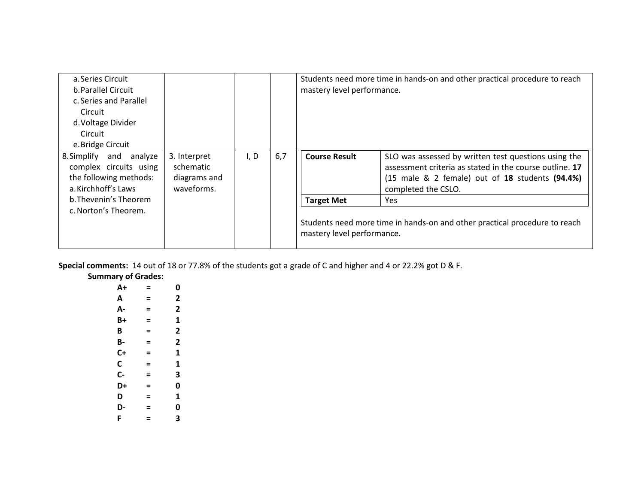| a. Series Circuit                                                                                     |                                                         |      |     |                            | Students need more time in hands-on and other practical procedure to reach                                                                                                                |
|-------------------------------------------------------------------------------------------------------|---------------------------------------------------------|------|-----|----------------------------|-------------------------------------------------------------------------------------------------------------------------------------------------------------------------------------------|
| b. Parallel Circuit                                                                                   |                                                         |      |     | mastery level performance. |                                                                                                                                                                                           |
| c. Series and Parallel                                                                                |                                                         |      |     |                            |                                                                                                                                                                                           |
| Circuit                                                                                               |                                                         |      |     |                            |                                                                                                                                                                                           |
| d. Voltage Divider                                                                                    |                                                         |      |     |                            |                                                                                                                                                                                           |
| Circuit                                                                                               |                                                         |      |     |                            |                                                                                                                                                                                           |
| e. Bridge Circuit                                                                                     |                                                         |      |     |                            |                                                                                                                                                                                           |
| 8. Simplify and<br>analyze<br>complex circuits using<br>the following methods:<br>a. Kirchhoff's Laws | 3. Interpret<br>schematic<br>diagrams and<br>waveforms. | I, D | 6,7 | <b>Course Result</b>       | SLO was assessed by written test questions using the<br>assessment criteria as stated in the course outline. 17<br>(15 male & 2 female) out of 18 students (94.4%)<br>completed the CSLO. |
| b. Thevenin's Theorem                                                                                 |                                                         |      |     | <b>Target Met</b>          | Yes.                                                                                                                                                                                      |
| c. Norton's Theorem.                                                                                  |                                                         |      |     | mastery level performance. | Students need more time in hands-on and other practical procedure to reach                                                                                                                |

**Special comments:** 14 out of 18 or 77.8% of the students got a grade of C and higher and 4 or 22.2% got D & F.

**Summary of Grades:**

| A+   | = | 0                       |
|------|---|-------------------------|
| A    | Ξ | 2                       |
| А-   | Ξ | 2                       |
| $B+$ | Ξ | 1                       |
| B    | = | 2                       |
| B-   | = | $\overline{\mathbf{c}}$ |
| $C+$ | Ξ | 1                       |
| C    | Ξ | 1                       |
| $C-$ | = | 3                       |
| D+   | = | 0                       |
| D    | Ξ | 1                       |
| D-   | Ξ | 0                       |
| F    | Ξ | 3                       |